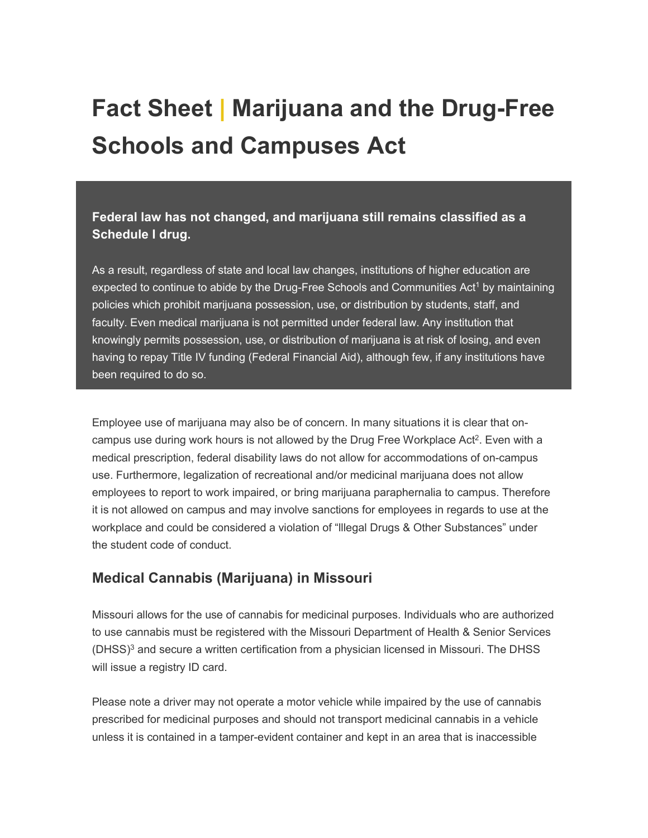# **Fact Sheet | Marijuana and the Drug-Free Schools and Campuses Act**

**Federal law has not changed, and marijuana still remains classified as a Schedule I drug.**

As a result, regardless of state and local law changes, institutions of higher education are expected to continue to abide by the Drug-Free Schools and Communities Act<sup>1</sup> by maintaining policies which prohibit marijuana possession, use, or distribution by students, staff, and faculty. Even medical marijuana is not permitted under federal law. Any institution that knowingly permits possession, use, or distribution of marijuana is at risk of losing, and even having to repay Title IV funding (Federal Financial Aid), although few, if any institutions have been required to do so.

Employee use of marijuana may also be of concern. In many situations it is clear that oncampus use during work hours is not allowed by the Drug Free Workplace Act<sup>2</sup>. Even with a medical prescription, federal disability laws do not allow for accommodations of on-campus use. Furthermore, legalization of recreational and/or medicinal marijuana does not allow employees to report to work impaired, or bring marijuana paraphernalia to campus. Therefore it is not allowed on campus and may involve sanctions for employees in regards to use at the workplace and could be considered a violation of "lllegal Drugs & Other Substances" under the student code of conduct.

# **Medical Cannabis (Marijuana) in Missouri**

Missouri allows for the use of cannabis for medicinal purposes. Individuals who are authorized to use cannabis must be registered with the Missouri Department of Health & Senior Services  $(DHSS)<sup>3</sup>$  and secure a written certification from a physician licensed in Missouri. The DHSS will issue a registry ID card.

Please note a driver may not operate a motor vehicle while impaired by the use of cannabis prescribed for medicinal purposes and should not transport medicinal cannabis in a vehicle unless it is contained in a tamper-evident container and kept in an area that is inaccessible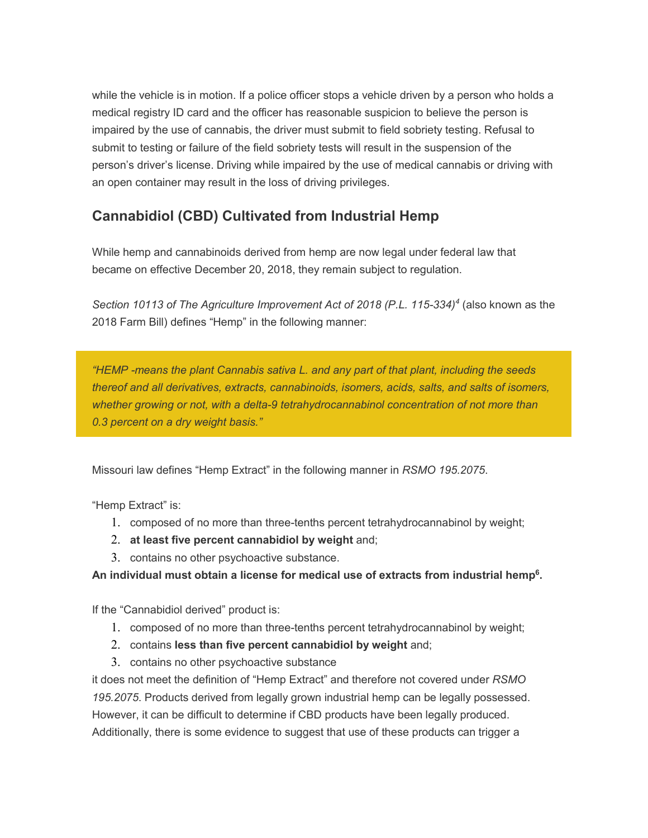while the vehicle is in motion. If a police officer stops a vehicle driven by a person who holds a medical registry ID card and the officer has reasonable suspicion to believe the person is impaired by the use of cannabis, the driver must submit to field sobriety testing. Refusal to submit to testing or failure of the field sobriety tests will result in the suspension of the person's driver's license. Driving while impaired by the use of medical cannabis or driving with an open container may result in the loss of driving privileges.

# **Cannabidiol (CBD) Cultivated from Industrial Hemp**

While hemp and cannabinoids derived from hemp are now legal under federal law that became on effective December 20, 2018, they remain subject to regulation.

*Section 10113 of The Agriculture Improvement Act of 2018 (P.L. 115-334)4* (also known as the 2018 Farm Bill) defines "Hemp" in the following manner:

*"HEMP -means the plant Cannabis sativa L. and any part of that plant, including the seeds thereof and all derivatives, extracts, cannabinoids, isomers, acids, salts, and salts of isomers, whether growing or not, with a delta-9 tetrahydrocannabinol concentration of not more than 0.3 percent on a dry weight basis."*

Missouri law defines "Hemp Extract" in the following manner in *RSMO 195.2075*.

"Hemp Extract" is:

- 1. composed of no more than three-tenths percent tetrahydrocannabinol by weight;
- 2. **at least five percent cannabidiol by weight** and;
- 3. contains no other psychoactive substance.

**An individual must obtain a license for medical use of extracts from industrial hemp6.**

If the "Cannabidiol derived" product is:

- 1. composed of no more than three-tenths percent tetrahydrocannabinol by weight;
- 2. contains **less than five percent cannabidiol by weight** and;
- 3. contains no other psychoactive substance

it does not meet the definition of "Hemp Extract" and therefore not covered under *RSMO 195.2075*. Products derived from legally grown industrial hemp can be legally possessed. However, it can be difficult to determine if CBD products have been legally produced. Additionally, there is some evidence to suggest that use of these products can trigger a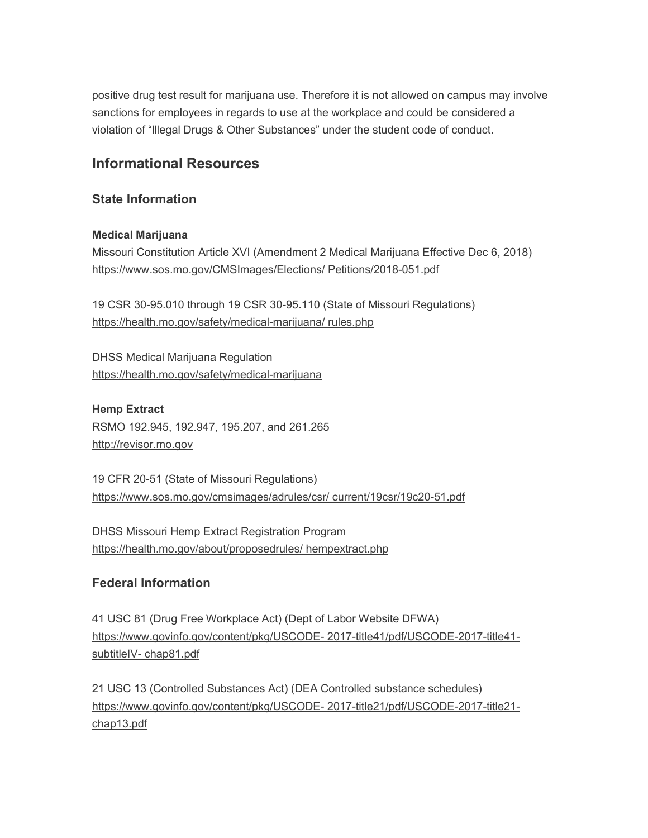positive drug test result for marijuana use. Therefore it is not allowed on campus may involve sanctions for employees in regards to use at the workplace and could be considered a violation of "lllegal Drugs & Other Substances" under the student code of conduct.

# **Informational Resources**

### **State Information**

#### **Medical Marijuana**

Missouri Constitution Article XVI (Amendment 2 Medical Marijuana Effective Dec 6, 2018) [https://www.sos.mo.gov/CMSImages/Elections/ Petitions/2018-051.pdf](https://mailer.missouri.edu/42N5-7A0Y-2RC2T5-5QKKS-1/c.aspx)

19 CSR 30-95.010 through 19 CSR 30-95.110 (State of Missouri Regulations) [https://health.mo.gov/safety/medical-marijuana/ rules.php](https://mailer.missouri.edu/42N5-7A0Y-2RC2T5-5QKKT-1/c.aspx)

DHSS Medical Marijuana Regulation [https://health.mo.gov/safety/medical-marijuana](https://mailer.missouri.edu/42N5-7A0Y-2RC2T5-5QKKU-1/c.aspx)

**Hemp Extract** RSMO 192.945, 192.947, 195.207, and 261.265 [http://revisor.mo.gov](https://mailer.missouri.edu/42N5-7A0Y-2RC2T5-5QKKV-1/c.aspx)

19 CFR 20-51 (State of Missouri Regulations) [https://www.sos.mo.gov/cmsimages/adrules/csr/ current/19csr/19c20-51.pdf](https://mailer.missouri.edu/42N5-7A0Y-2RC2T5-5QKKW-1/c.aspx)

DHSS Missouri Hemp Extract Registration Program [https://health.mo.gov/about/proposedrules/ hempextract.php](https://mailer.missouri.edu/42N5-7A0Y-2RC2T5-5QKKX-1/c.aspx)

## **Federal Information**

41 USC 81 (Drug Free Workplace Act) (Dept of Labor Website DFWA) [https://www.govinfo.gov/content/pkg/USCODE-](https://mailer.missouri.edu/42N5-7A0Y-2RC2T5-5QKKY-1/c.aspx) 2017-title41/pdf/USCODE-2017-title41 subtitleIV- [chap81.pdf](https://mailer.missouri.edu/42N5-7A0Y-2RC2T5-5QKKY-1/c.aspx)

21 USC 13 (Controlled Substances Act) (DEA Controlled substance schedules) [https://www.govinfo.gov/content/pkg/USCODE-](https://mailer.missouri.edu/42N5-7A0Y-2RC2T5-5QKKZ-1/c.aspx) 2017-title21/pdf/USCODE-2017-title21 [chap13.pdf](https://mailer.missouri.edu/42N5-7A0Y-2RC2T5-5QKKZ-1/c.aspx)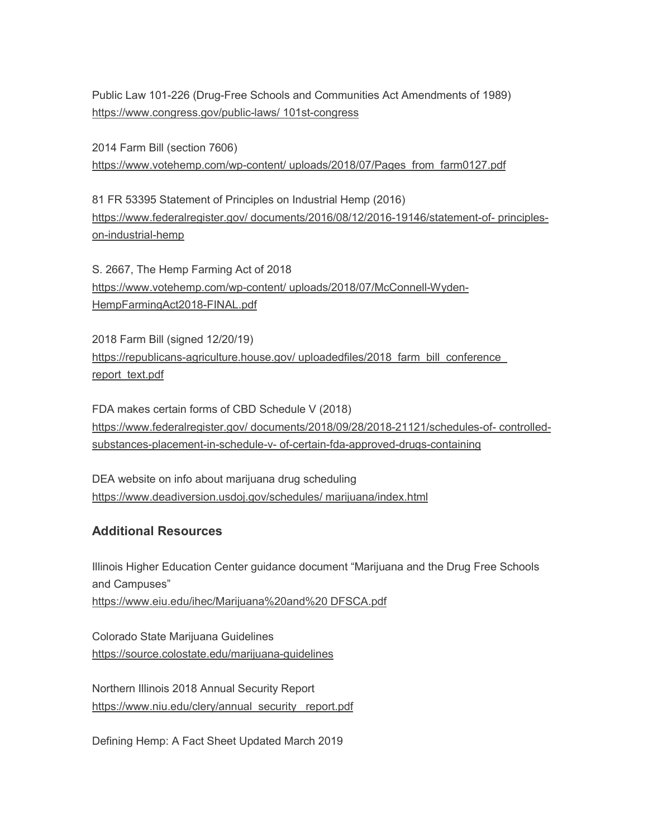Public Law 101-226 (Drug-Free Schools and Communities Act Amendments of 1989) [https://www.congress.gov/public-laws/ 101st-congress](https://mailer.missouri.edu/42N5-7A0Y-2RC2T5-5QKL0-1/c.aspx)

2014 Farm Bill (section 7606) [https://www.votehemp.com/wp-content/ uploads/2018/07/Pages\\_from\\_farm0127.pdf](https://mailer.missouri.edu/42N5-7A0Y-2RC2T5-5QKL1-1/c.aspx)

81 FR 53395 Statement of Principles on Industrial Hemp (2016) [https://www.federalregister.gov/ documents/2016/08/12/2016-19146/statement-of-](https://mailer.missouri.edu/42N5-7A0Y-2RC2T5-5QKL2-1/c.aspx) principles[on-industrial-hemp](https://mailer.missouri.edu/42N5-7A0Y-2RC2T5-5QKL2-1/c.aspx)

S. 2667, The Hemp Farming Act of 2018 [https://www.votehemp.com/wp-content/ uploads/2018/07/McConnell-Wyden-](https://mailer.missouri.edu/42N5-7A0Y-2RC2T5-5QKL3-1/c.aspx)[HempFarmingAct2018-FINAL.pdf](https://mailer.missouri.edu/42N5-7A0Y-2RC2T5-5QKL3-1/c.aspx)

2018 Farm Bill (signed 12/20/19) [https://republicans-agriculture.house.gov/ uploadedfiles/2018\\_farm\\_bill\\_conference\\_](https://mailer.missouri.edu/42N5-7A0Y-2RC2T5-5QKL4-1/c.aspx)  [report\\_text.pdf](https://mailer.missouri.edu/42N5-7A0Y-2RC2T5-5QKL4-1/c.aspx)

FDA makes certain forms of CBD Schedule V (2018) [https://www.federalregister.gov/ documents/2018/09/28/2018-21121/schedules-of-](https://mailer.missouri.edu/42N5-7A0Y-2RC2T5-5QKL5-1/c.aspx) controlledsubstances-placement-in-schedule-v- [of-certain-fda-approved-drugs-containing](https://mailer.missouri.edu/42N5-7A0Y-2RC2T5-5QKL5-1/c.aspx)

DEA website on info about marijuana drug scheduling [https://www.deadiversion.usdoj.gov/schedules/ marijuana/index.html](https://mailer.missouri.edu/42N5-7A0Y-2RC2T5-5QKL6-1/c.aspx)

## **Additional Resources**

Illinois Higher Education Center guidance document "Marijuana and the Drug Free Schools and Campuses" [https://www.eiu.edu/ihec/Marijuana%20and%20 DFSCA.pdf](https://mailer.missouri.edu/42N5-7A0Y-2RC2T5-5QKL7-1/c.aspx)

Colorado State Marijuana Guidelines [https://source.colostate.edu/marijuana-guidelines](https://mailer.missouri.edu/42N5-7A0Y-2RC2T5-5QKL8-1/c.aspx)

Northern Illinois 2018 Annual Security Report https://www.niu.edu/clery/annual\_security\_report.pdf

Defining Hemp: A Fact Sheet Updated March 2019